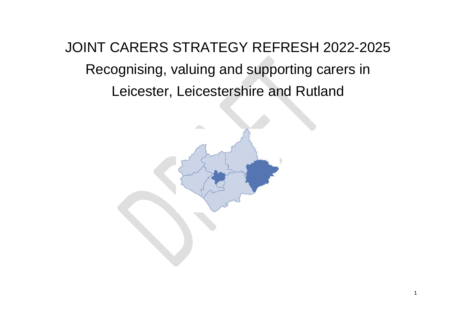JOINT CARERS STRATEGY REFRESH 2022-2025 Recognising, valuing and supporting carers in Leicester, Leicestershire and Rutland

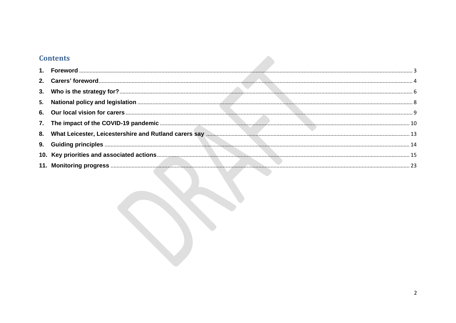# **Contents**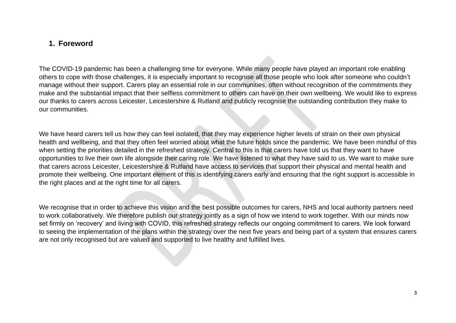## <span id="page-2-0"></span>**1. Foreword**

The COVID-19 pandemic has been a challenging time for everyone. While many people have played an important role enabling others to cope with those challenges, it is especially important to recognise all those people who look after someone who couldn't manage without their support. Carers play an essential role in our communities, often without recognition of the commitments they make and the substantial impact that their selfless commitment to others can have on their own wellbeing. We would like to express our thanks to carers across Leicester, Leicestershire & Rutland and publicly recognise the outstanding contribution they make to our communities.

We have heard carers tell us how they can feel isolated, that they may experience higher levels of strain on their own physical health and wellbeing, and that they often feel worried about what the future holds since the pandemic. We have been mindful of this when setting the priorities detailed in the refreshed strategy. Central to this is that carers have told us that they want to have opportunities to live their own life alongside their caring role. We have listened to what they have said to us. We want to make sure that carers across Leicester, Leicestershire & Rutland have access to services that support their physical and mental health and promote their wellbeing. One important element of this is identifying carers early and ensuring that the right support is accessible in the right places and at the right time for all carers.

We recognise that in order to achieve this vision and the best possible outcomes for carers, NHS and local authority partners need to work collaboratively. We therefore publish our strategy jointly as a sign of how we intend to work together. With our minds now set firmly on 'recovery' and living with COVID, this refreshed strategy reflects our ongoing commitment to carers. We look forward to seeing the implementation of the plans within the strategy over the next five years and being part of a system that ensures carers are not only recognised but are valued and supported to live healthy and fulfilled lives.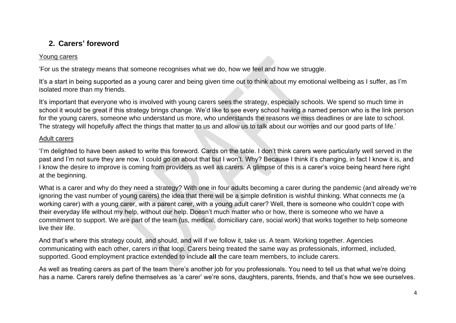## <span id="page-3-0"></span>**2. Carers' foreword**

#### Young carers

'For us the strategy means that someone recognises what we do, how we feel and how we struggle.

It's a start in being supported as a young carer and being given time out to think about my emotional wellbeing as I suffer, as I'm isolated more than my friends.

It's important that everyone who is involved with young carers sees the strategy, especially schools. We spend so much time in school it would be great if this strategy brings change. We'd like to see every school having a named person who is the link person for the young carers, someone who understand us more, who understands the reasons we miss deadlines or are late to school. The strategy will hopefully affect the things that matter to us and allow us to talk about our worries and our good parts of life.'

#### Adult carers

'I'm delighted to have been asked to write this foreword. Cards on the table. I don't think carers were particularly well served in the past and I'm not sure they are now. I could go on about that but I won't. Why? Because I think it's changing, in fact I know it is, and I know the desire to improve is coming from providers as well as carers. A glimpse of this is a carer's voice being heard here right at the beginning.

What is a carer and why do they need a strategy? With one in four adults becoming a carer during the pandemic (and already we're ignoring the vast number of young carers) the idea that there will be a simple definition is wishful thinking. What connects me (a working carer) with a young carer, with a parent carer, with a young adult carer? Well, there is someone who couldn't cope with their everyday life without my help, without our help. Doesn't much matter who or how, there is someone who we have a commitment to support. We are part of the team (us, medical, domiciliary care, social work) that works together to help someone live their life.

And that's where this strategy could, and should, and will if we follow it, take us. A team. Working together. Agencies communicating with each other, carers in that loop. Carers being treated the same way as professionals, informed, included, supported. Good employment practice extended to include **all** the care team members, to include carers.

As well as treating carers as part of the team there's another job for you professionals. You need to tell us that what we're doing has a name. Carers rarely define themselves as 'a carer' we're sons, daughters, parents, friends, and that's how we see ourselves.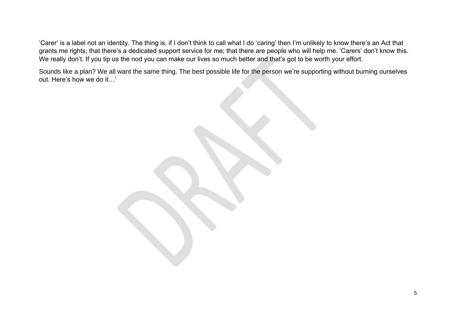'Carer' is a label not an identity. The thing is, if I don't think to call what I do 'caring' then I'm unlikely to know there's an Act that grants me rights; that there's a dedicated support service for me; that there are people who will help me. 'Carers' don't know this. We really don't. If you tip us the nod you can make our lives so much better and that's got to be worth your effort.

Sounds like a plan? We all want the same thing. The best possible life for the person we're supporting without burning ourselves out. Here's how we do it…'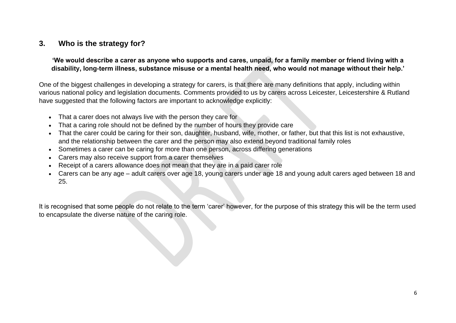## <span id="page-5-0"></span>**3. Who is the strategy for?**

**'We would describe a carer as anyone who supports and cares, unpaid, for a family member or friend living with a disability, long-term illness, substance misuse or a mental health need, who would not manage without their help.'**

One of the biggest challenges in developing a strategy for carers, is that there are many definitions that apply, including within various national policy and legislation documents. Comments provided to us by carers across Leicester, Leicestershire & Rutland have suggested that the following factors are important to acknowledge explicitly:

- That a carer does not always live with the person they care for
- That a caring role should not be defined by the number of hours they provide care
- That the carer could be caring for their son, daughter, husband, wife, mother, or father, but that this list is not exhaustive, and the relationship between the carer and the person may also extend beyond traditional family roles
- Sometimes a carer can be caring for more than one person, across differing generations
- Carers may also receive support from a carer themselves
- Receipt of a carers allowance does not mean that they are in a paid carer role
- Carers can be any age adult carers over age 18, young carers under age 18 and young adult carers aged between 18 and 25.

It is recognised that some people do not relate to the term 'carer' however, for the purpose of this strategy this will be the term used to encapsulate the diverse nature of the caring role.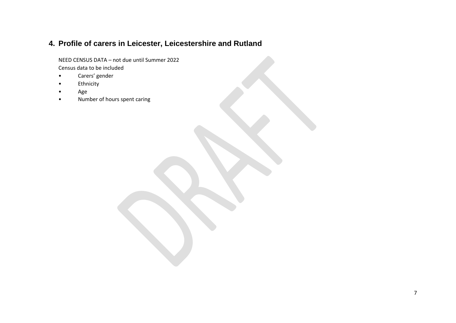# **4. Profile of carers in Leicester, Leicestershire and Rutland**

NEED CENSUS DATA – not due until Summer 2022 Census data to be included

- Carers' gender
- Ethnicity
- Age
- Number of hours spent caring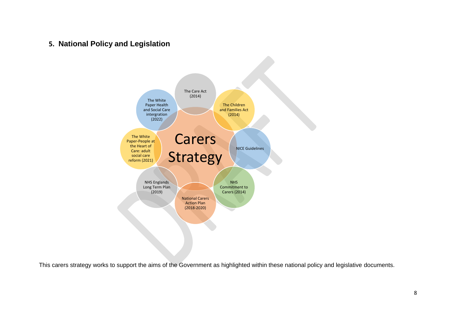<span id="page-7-0"></span>**5. National Policy and Legislation**



This carers strategy works to support the aims of the Government as highlighted within these national policy and legislative documents.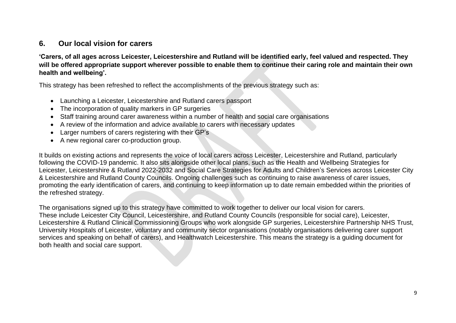## <span id="page-8-0"></span>**6. Our local vision for carers**

**'Carers, of all ages across Leicester, Leicestershire and Rutland will be identified early, feel valued and respected. They will be offered appropriate support wherever possible to enable them to continue their caring role and maintain their own health and wellbeing'.**

This strategy has been refreshed to reflect the accomplishments of the previous strategy such as:

- Launching a Leicester, Leicestershire and Rutland carers passport
- The incorporation of quality markers in GP surgeries
- Staff training around carer awareness within a number of health and social care organisations
- A review of the information and advice available to carers with necessary updates
- Larger numbers of carers registering with their GP's
- A new regional carer co-production group.

It builds on existing actions and represents the voice of local carers across Leicester, Leicestershire and Rutland, particularly following the COVID-19 pandemic. It also sits alongside other local plans, such as the Health and Wellbeing Strategies for Leicester, Leicestershire & Rutland 2022-2032 and Social Care Strategies for Adults and Children's Services across Leicester City & Leicestershire and Rutland County Councils. Ongoing challenges such as continuing to raise awareness of carer issues, promoting the early identification of carers, and continuing to keep information up to date remain embedded within the priorities of the refreshed strategy.

The organisations signed up to this strategy have committed to work together to deliver our local vision for carers. These include Leicester City Council, Leicestershire, and Rutland County Councils (responsible for social care), Leicester, Leicestershire & Rutland Clinical Commissioning Groups who work alongside GP surgeries, Leicestershire Partnership NHS Trust, University Hospitals of Leicester, voluntary and community sector organisations (notably organisations delivering carer support services and speaking on behalf of carers), and Healthwatch Leicestershire. This means the strategy is a guiding document for both health and social care support.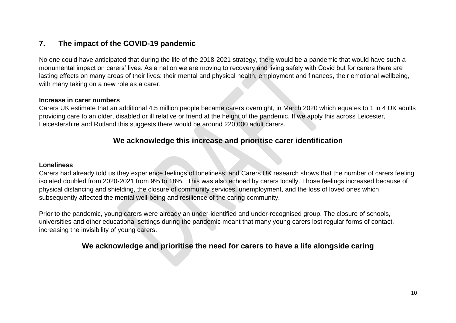## <span id="page-9-0"></span>**7. The impact of the COVID-19 pandemic**

No one could have anticipated that during the life of the 2018-2021 strategy, there would be a pandemic that would have such a monumental impact on carers' lives. As a nation we are moving to recovery and living safely with Covid but for carers there are lasting effects on many areas of their lives: their mental and physical health, employment and finances, their emotional wellbeing, with many taking on a new role as a carer.

#### **Increase in carer numbers**

Carers UK estimate that an additional 4.5 million people became carers overnight, in March 2020 which equates to 1 in 4 UK adults providing care to an older, disabled or ill relative or friend at the height of the pandemic. If we apply this across Leicester, Leicestershire and Rutland this suggests there would be around 220,000 adult carers.

## **We acknowledge this increase and prioritise carer identification**

#### **Loneliness**

Carers had already told us they experience feelings of loneliness; and Carers UK research shows that the number of carers feeling isolated doubled from 2020-2021 from 9% to 18%. This was also echoed by carers locally. Those feelings increased because of physical distancing and shielding, the closure of community services, unemployment, and the loss of loved ones which subsequently affected the mental well-being and resilience of the caring community.

Prior to the pandemic, young carers were already an under-identified and under-recognised group. The closure of schools, universities and other educational settings during the pandemic meant that many young carers lost regular forms of contact, increasing the invisibility of young carers.

## **We acknowledge and prioritise the need for carers to have a life alongside caring**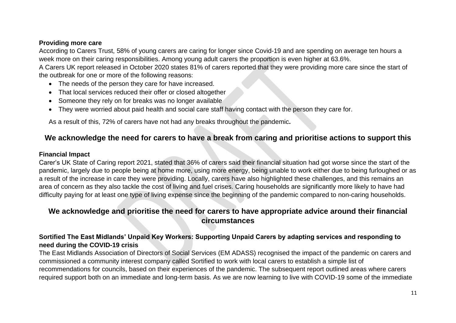#### **Providing more care**

According to Carers Trust, 58% of young carers are caring for longer since Covid-19 and are spending on average ten hours a week more on their caring responsibilities. Among young adult carers the proportion is even higher at 63.6%.

A Carers UK report released in October 2020 states 81% of carers reported that they were providing more care since the start of the outbreak for one or more of the following reasons:

- The needs of the person they care for have increased.
- That local services reduced their offer or closed altogether
- Someone they rely on for breaks was no longer available
- They were worried about paid health and social care staff having contact with the person they care for.

As a result of this, 72% of carers have not had any breaks throughout the pandemic**.**

## **We acknowledge the need for carers to have a break from caring and prioritise actions to support this**

#### **Financial Impact**

Carer's UK State of Caring report 2021, stated that 36% of carers said their financial situation had got worse since the start of the pandemic, largely due to people being at home more, using more energy, being unable to work either due to being furloughed or as a result of the increase in care they were providing. Locally, carers have also highlighted these challenges, and this remains an area of concern as they also tackle the cost of living and fuel crises. Caring households are significantly more likely to have had difficulty paying for at least one type of living expense since the beginning of the pandemic compared to non-caring households.

## **We acknowledge and prioritise the need for carers to have appropriate advice around their financial circumstances**

### **Sortified The East Midlands' Unpaid Key Workers: Supporting Unpaid Carers by adapting services and responding to need during the COVID-19 crisis**

The East Midlands Association of Directors of Social Services (EM ADASS) recognised the impact of the pandemic on carers and commissioned a community interest company called Sortified to work with local carers to establish a simple list of recommendations for councils, based on their experiences of the pandemic. The subsequent report outlined areas where carers required support both on an immediate and long-term basis. As we are now learning to live with COVID-19 some of the immediate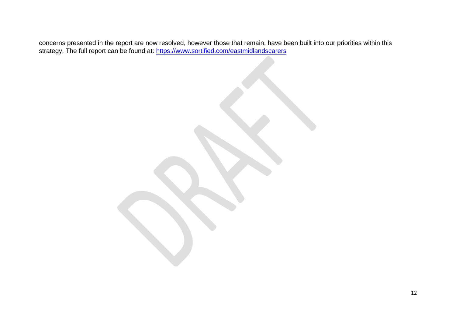concerns presented in the report are now resolved, however those that remain, have been built into our priorities within this strategy. The full report can be found at:<https://www.sortified.com/eastmidlandscarers>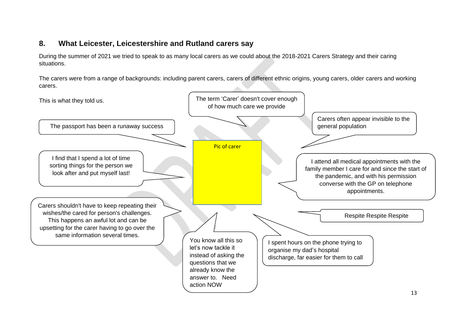## <span id="page-12-0"></span>**8. What Leicester, Leicestershire and Rutland carers say**

During the summer of 2021 we tried to speak to as many local carers as we could about the 2018-2021 Carers Strategy and their caring situations.

The carers were from a range of backgrounds: including parent carers, carers of different ethnic origins, young carers, older carers and working carers.

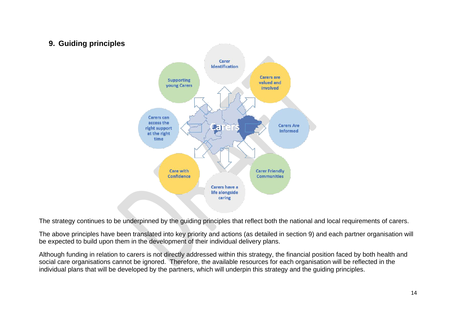## <span id="page-13-0"></span>**9. Guiding principles**



The strategy continues to be underpinned by the guiding principles that reflect both the national and local requirements of carers.

The above principles have been translated into key priority and actions (as detailed in section 9) and each partner organisation will be expected to build upon them in the development of their individual delivery plans.

Although funding in relation to carers is not directly addressed within this strategy, the financial position faced by both health and social care organisations cannot be ignored. Therefore, the available resources for each organisation will be reflected in the individual plans that will be developed by the partners, which will underpin this strategy and the guiding principles.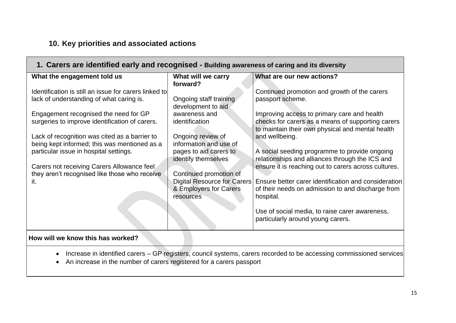# <span id="page-14-0"></span>**10. Key priorities and associated actions**

| 1. Carers are identified early and recognised - Building awareness of caring and its diversity |                             |                                                      |  |
|------------------------------------------------------------------------------------------------|-----------------------------|------------------------------------------------------|--|
| What the engagement told us                                                                    | What will we carry          | What are our new actions?                            |  |
|                                                                                                | forward?                    |                                                      |  |
| Identification is still an issue for carers linked to                                          |                             | Continued promotion and growth of the carers         |  |
| lack of understanding of what caring is.                                                       | Ongoing staff training      | passport scheme.                                     |  |
|                                                                                                | development to aid          |                                                      |  |
| Engagement recognised the need for GP                                                          | awareness and               | Improving access to primary care and health          |  |
| surgeries to improve identification of carers.                                                 | identification              | checks for carers as a means of supporting carers    |  |
|                                                                                                |                             | to maintain their own physical and mental health     |  |
| Lack of recognition was cited as a barrier to                                                  | Ongoing review of           | and wellbeing.                                       |  |
| being kept informed; this was mentioned as a                                                   | information and use of      |                                                      |  |
| particular issue in hospital settings.                                                         | pages to aid carers to      | A social seeding programme to provide ongoing        |  |
|                                                                                                | identify themselves         | relationships and alliances through the ICS and      |  |
| Carers not receiving Carers Allowance feel                                                     |                             | ensure it is reaching out to carers across cultures. |  |
| they aren't recognised like those who receive                                                  | Continued promotion of      |                                                      |  |
| it.                                                                                            | Digital Resource for Carers | Ensure better carer identification and consideration |  |
|                                                                                                | & Employers for Carers      | of their needs on admission to and discharge from    |  |
|                                                                                                | resources                   | hospital.                                            |  |
|                                                                                                |                             |                                                      |  |
|                                                                                                |                             | Use of social media, to raise carer awareness,       |  |
|                                                                                                |                             | particularly around young carers.                    |  |
| How will we know this has worked?                                                              |                             |                                                      |  |
|                                                                                                |                             |                                                      |  |

- Increase in identified carers GP registers, council systems, carers recorded to be accessing commissioned services
- An increase in the number of carers registered for a carers passport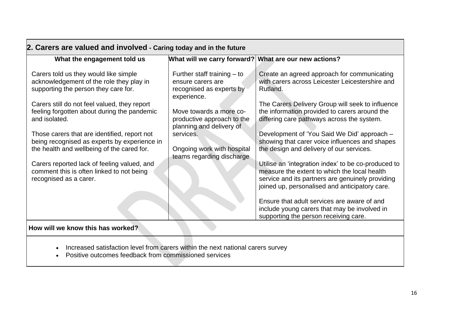| 2. Carers are valued and involved - Caring today and in the future                                                                                                                                                       |                                                                                                                          |                                                                                                                                                                                                                 |  |
|--------------------------------------------------------------------------------------------------------------------------------------------------------------------------------------------------------------------------|--------------------------------------------------------------------------------------------------------------------------|-----------------------------------------------------------------------------------------------------------------------------------------------------------------------------------------------------------------|--|
| What the engagement told us                                                                                                                                                                                              | What will we carry forward? What are our new actions?                                                                    |                                                                                                                                                                                                                 |  |
| Carers told us they would like simple<br>acknowledgement of the role they play in<br>supporting the person they care for.<br>Carers still do not feel valued, they report<br>feeling forgotten about during the pandemic | Further staff training $-$ to<br>ensure carers are<br>recognised as experts by<br>experience.<br>Move towards a more co- | Create an agreed approach for communicating<br>with carers across Leicester Leicestershire and<br>Rutland.<br>The Carers Delivery Group will seek to influence<br>the information provided to carers around the |  |
| and isolated.                                                                                                                                                                                                            | productive approach to the<br>planning and delivery of                                                                   | differing care pathways across the system.                                                                                                                                                                      |  |
| Those carers that are identified, report not<br>being recognised as experts by experience in<br>the health and wellbeing of the cared for.                                                                               | services.<br>Ongoing work with hospital<br>teams regarding discharge                                                     | Development of 'You Said We Did' approach -<br>showing that carer voice influences and shapes<br>the design and delivery of our services.                                                                       |  |
| Carers reported lack of feeling valued, and<br>comment this is often linked to not being<br>recognised as a carer.                                                                                                       |                                                                                                                          | Utilise an 'integration index' to be co-produced to<br>measure the extent to which the local health<br>service and its partners are genuinely providing<br>joined up, personalised and anticipatory care.       |  |
|                                                                                                                                                                                                                          |                                                                                                                          | Ensure that adult services are aware of and<br>include young carers that may be involved in<br>supporting the person receiving care.                                                                            |  |
| How will we know this has worked?                                                                                                                                                                                        |                                                                                                                          |                                                                                                                                                                                                                 |  |

- Increased satisfaction level from carers within the next national carers survey
- Positive outcomes feedback from commissioned services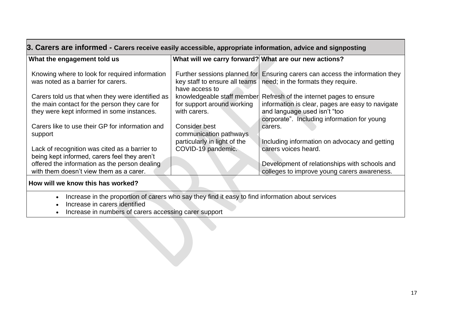| 3. Carers are informed - Carers receive easily accessible, appropriate information, advice and signposting                                                                                |                                                                          |                                                                                                                                                                            |  |
|-------------------------------------------------------------------------------------------------------------------------------------------------------------------------------------------|--------------------------------------------------------------------------|----------------------------------------------------------------------------------------------------------------------------------------------------------------------------|--|
| What the engagement told us                                                                                                                                                               | What will we carry forward? What are our new actions?                    |                                                                                                                                                                            |  |
| Knowing where to look for required information<br>was noted as a barrier for carers.                                                                                                      | have access to                                                           | Further sessions planned for Ensuring carers can access the information they<br>key staff to ensure all teams   need; in the formats they require.                         |  |
| Carers told us that when they were identified as<br>the main contact for the person they care for<br>they were kept informed in some instances.                                           | knowledgeable staff member<br>for support around working<br>with carers. | Refresh of the internet pages to ensure<br>information is clear, pages are easy to navigate<br>and language used isn't "too<br>corporate". Including information for young |  |
| Carers like to use their GP for information and<br>support                                                                                                                                | Consider best<br>communication pathways<br>particularly in light of the  | carers.<br>Including information on advocacy and getting                                                                                                                   |  |
| Lack of recognition was cited as a barrier to<br>being kept informed, carers feel they aren't<br>offered the information as the person dealing<br>with them doesn't view them as a carer. | COVID-19 pandemic.                                                       | carers voices heard.<br>Development of relationships with schools and<br>colleges to improve young carers awareness.                                                       |  |
|                                                                                                                                                                                           |                                                                          |                                                                                                                                                                            |  |

#### **How will we know this has worked?**

• Increase in the proportion of carers who say they find it easy to find information about services

• Increase in carers identified

• Increase in numbers of carers accessing carer support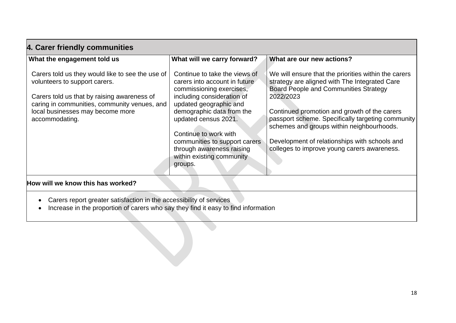| What the engagement told us                                                                                                                                                                                                            | What will we carry forward?                                                                                                                                                                                                                                                                                                            | What are our new actions?                                                                                                                                                                                                                                                                                                                                                                                            |
|----------------------------------------------------------------------------------------------------------------------------------------------------------------------------------------------------------------------------------------|----------------------------------------------------------------------------------------------------------------------------------------------------------------------------------------------------------------------------------------------------------------------------------------------------------------------------------------|----------------------------------------------------------------------------------------------------------------------------------------------------------------------------------------------------------------------------------------------------------------------------------------------------------------------------------------------------------------------------------------------------------------------|
| Carers told us they would like to see the use of<br>volunteers to support carers.<br>Carers told us that by raising awareness of<br>caring in communities, community venues, and<br>local businesses may become more<br>accommodating. | Continue to take the views of<br>carers into account in future<br>commissioning exercises,<br>including consideration of<br>updated geographic and<br>demographic data from the<br>updated census 2021.<br>Continue to work with<br>communities to support carers<br>through awareness raising<br>within existing community<br>groups. | We will ensure that the priorities within the carers<br>strategy are aligned with The Integrated Care<br><b>Board People and Communities Strategy</b><br>2022/2023<br>Continued promotion and growth of the carers<br>passport scheme. Specifically targeting community<br>schemes and groups within neighbourhoods.<br>Development of relationships with schools and<br>colleges to improve young carers awareness. |
| How will we know this has worked?                                                                                                                                                                                                      |                                                                                                                                                                                                                                                                                                                                        |                                                                                                                                                                                                                                                                                                                                                                                                                      |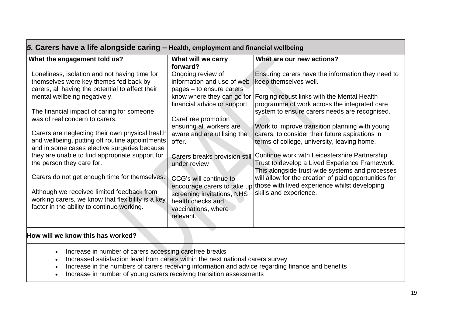| 5. Carers have a life alongside caring - Health, employment and financial wellbeing                                                                                                                                                                                                                                                                                                                                                                                                                                               |                                                                                                                                                                                                                                                                                                                        |                                                                                                                                                                                                                                                                                                                                                                                                                                                                                                                                                                          |  |
|-----------------------------------------------------------------------------------------------------------------------------------------------------------------------------------------------------------------------------------------------------------------------------------------------------------------------------------------------------------------------------------------------------------------------------------------------------------------------------------------------------------------------------------|------------------------------------------------------------------------------------------------------------------------------------------------------------------------------------------------------------------------------------------------------------------------------------------------------------------------|--------------------------------------------------------------------------------------------------------------------------------------------------------------------------------------------------------------------------------------------------------------------------------------------------------------------------------------------------------------------------------------------------------------------------------------------------------------------------------------------------------------------------------------------------------------------------|--|
| What the engagement told us?<br>Loneliness, isolation and not having time for<br>themselves were key themes fed back by<br>carers, all having the potential to affect their<br>mental wellbeing negatively.<br>The financial impact of caring for someone<br>was of real concern to carers.<br>Carers are neglecting their own physical health<br>and wellbeing, putting off routine appointments<br>and in some cases elective surgeries because<br>they are unable to find appropriate support for<br>the person they care for. | What will we carry<br>forward?<br>Ongoing review of<br>information and use of web<br>pages – to ensure carers<br>know where they can go for<br>financial advice or support<br>CareFree promotion<br>ensuring all workers are<br>aware and are utilising the<br>offer.<br>Carers breaks provision still<br>under review | What are our new actions?<br>Ensuring carers have the information they need to<br>keep themselves well.<br><b>Forging robust links with the Mental Health</b><br>programme of work across the integrated care<br>system to ensure carers needs are recognised.<br>Work to improve transition planning with young<br>carers, to consider their future aspirations in<br>terms of college, university, leaving home.<br>Continue work with Leicestershire Partnership<br>Trust to develop a Lived Experience Framework.<br>This alongside trust-wide systems and processes |  |
| Carers do not get enough time for themselves.<br>Although we received limited feedback from<br>working carers, we know that flexibility is a key<br>factor in the ability to continue working.                                                                                                                                                                                                                                                                                                                                    | CCG's will continue to<br>screening invitations, NHS<br>health checks and<br>vaccinations, where<br>relevant.                                                                                                                                                                                                          | will allow for the creation of paid opportunities for<br>encourage carers to take up those with lived experience whilst developing<br>skills and experience.                                                                                                                                                                                                                                                                                                                                                                                                             |  |
| How will we know this has worked?                                                                                                                                                                                                                                                                                                                                                                                                                                                                                                 |                                                                                                                                                                                                                                                                                                                        |                                                                                                                                                                                                                                                                                                                                                                                                                                                                                                                                                                          |  |

- Increase in number of carers accessing carefree breaks
- Increased satisfaction level from carers within the next national carers survey
- Increase in the numbers of carers receiving information and advice regarding finance and benefits
- Increase in number of young carers receiving transition assessments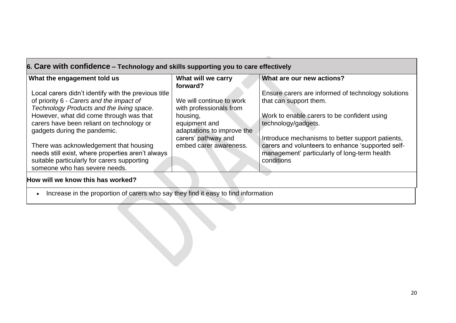| What the engagement told us                                                                 | What will we carry<br>forward?                      | What are our new actions?                                                                         |
|---------------------------------------------------------------------------------------------|-----------------------------------------------------|---------------------------------------------------------------------------------------------------|
| Local carers didn't identify with the previous title                                        |                                                     | Ensure carers are informed of technology solutions                                                |
| of priority 6 - Carers and the impact of<br>Technology Products and the living space.       | We will continue to work<br>with professionals from | that can support them.                                                                            |
| However, what did come through was that                                                     | housing,                                            | Work to enable carers to be confident using                                                       |
| carers have been reliant on technology or<br>gadgets during the pandemic.                   | equipment and<br>adaptations to improve the         | technology/gadgets.                                                                               |
|                                                                                             | carers' pathway and                                 | Introduce mechanisms to better support patients,                                                  |
| There was acknowledgement that housing<br>needs still exist, where properties aren't always | embed carer awareness.                              | carers and volunteers to enhance 'supported self-<br>management' particularly of long-term health |
| suitable particularly for carers supporting<br>someone who has severe needs.                |                                                     | conditions                                                                                        |

• Increase in the proportion of carers who say they find it easy to find information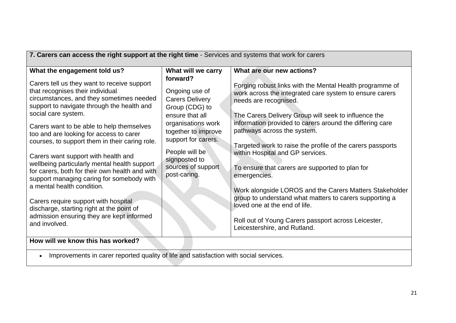| 7. Carers can access the right support at the right time - Services and systems that work for carers                                                                                                                                                                                                                                                                                                                                                                                                                                                                                                                                                                                                                                              |                                                                                                                                                                                                                                                              |                                                                                                                                                                                                                                                                                                                                                                                                                                                                                                                                                                                                                                                                                                                                                 |  |
|---------------------------------------------------------------------------------------------------------------------------------------------------------------------------------------------------------------------------------------------------------------------------------------------------------------------------------------------------------------------------------------------------------------------------------------------------------------------------------------------------------------------------------------------------------------------------------------------------------------------------------------------------------------------------------------------------------------------------------------------------|--------------------------------------------------------------------------------------------------------------------------------------------------------------------------------------------------------------------------------------------------------------|-------------------------------------------------------------------------------------------------------------------------------------------------------------------------------------------------------------------------------------------------------------------------------------------------------------------------------------------------------------------------------------------------------------------------------------------------------------------------------------------------------------------------------------------------------------------------------------------------------------------------------------------------------------------------------------------------------------------------------------------------|--|
| What the engagement told us?<br>Carers tell us they want to receive support<br>that recognises their individual<br>circumstances, and they sometimes needed<br>support to navigate through the health and<br>social care system.<br>Carers want to be able to help themselves<br>too and are looking for access to carer<br>courses, to support them in their caring role.<br>Carers want support with health and<br>wellbeing particularly mental health support<br>for carers, both for their own health and with<br>support managing caring for somebody with<br>a mental health condition.<br>Carers require support with hospital<br>discharge, starting right at the point of<br>admission ensuring they are kept informed<br>and involved. | What will we carry<br>forward?<br>Ongoing use of<br><b>Carers Delivery</b><br>Group (CDG) to<br>ensure that all<br>organisations work<br>together to improve<br>support for carers.<br>People will be<br>signposted to<br>sources of support<br>post-caring. | What are our new actions?<br>Forging robust links with the Mental Health programme of<br>work across the integrated care system to ensure carers<br>needs are recognised.<br>The Carers Delivery Group will seek to influence the<br>information provided to carers around the differing care<br>pathways across the system.<br>Targeted work to raise the profile of the carers passports<br>within Hospital and GP services.<br>To ensure that carers are supported to plan for<br>emergencies.<br>Work alongside LOROS and the Carers Matters Stakeholder<br>group to understand what matters to carers supporting a<br>loved one at the end of life.<br>Roll out of Young Carers passport across Leicester,<br>Leicestershire, and Rutland. |  |
| How will we know this has worked?                                                                                                                                                                                                                                                                                                                                                                                                                                                                                                                                                                                                                                                                                                                 |                                                                                                                                                                                                                                                              |                                                                                                                                                                                                                                                                                                                                                                                                                                                                                                                                                                                                                                                                                                                                                 |  |
| Improvements in carer reported quality of life and satisfaction with social services.                                                                                                                                                                                                                                                                                                                                                                                                                                                                                                                                                                                                                                                             |                                                                                                                                                                                                                                                              |                                                                                                                                                                                                                                                                                                                                                                                                                                                                                                                                                                                                                                                                                                                                                 |  |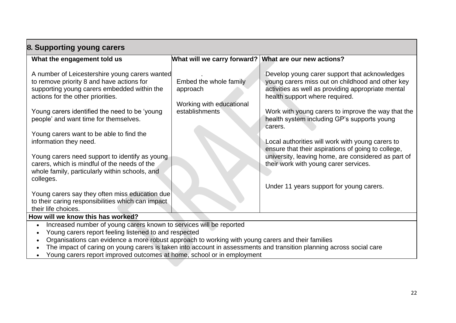| 8. Supporting young carers                                                                                                                                                                                                                                                                                                                                                                                                                                                                                                                                                                                                                     |                                                                                  |                                                                                                                                                                                                                                                                                                                                                                                                                                                                                                                                                                 |  |
|------------------------------------------------------------------------------------------------------------------------------------------------------------------------------------------------------------------------------------------------------------------------------------------------------------------------------------------------------------------------------------------------------------------------------------------------------------------------------------------------------------------------------------------------------------------------------------------------------------------------------------------------|----------------------------------------------------------------------------------|-----------------------------------------------------------------------------------------------------------------------------------------------------------------------------------------------------------------------------------------------------------------------------------------------------------------------------------------------------------------------------------------------------------------------------------------------------------------------------------------------------------------------------------------------------------------|--|
| What the engagement told us                                                                                                                                                                                                                                                                                                                                                                                                                                                                                                                                                                                                                    | What will we carry forward?                                                      | What are our new actions?                                                                                                                                                                                                                                                                                                                                                                                                                                                                                                                                       |  |
| A number of Leicestershire young carers wanted<br>to remove priority 8 and have actions for<br>supporting young carers embedded within the<br>actions for the other priorities.<br>Young carers identified the need to be 'young<br>people' and want time for themselves.<br>Young carers want to be able to find the<br>information they need.<br>Young carers need support to identify as young<br>carers, which is mindful of the needs of the<br>whole family, particularly within schools, and<br>colleges.<br>Young carers say they often miss education due<br>to their caring responsibilities which can impact<br>their life choices. | Embed the whole family<br>approach<br>Working with educational<br>establishments | Develop young carer support that acknowledges<br>young carers miss out on childhood and other key<br>activities as well as providing appropriate mental<br>health support where required.<br>Work with young carers to improve the way that the<br>health system including GP's supports young<br>carers.<br>Local authorities will work with young carers to<br>ensure that their aspirations of going to college,<br>university, leaving home, are considered as part of<br>their work with young carer services.<br>Under 11 years support for young carers. |  |
| How will we know this has worked?                                                                                                                                                                                                                                                                                                                                                                                                                                                                                                                                                                                                              |                                                                                  |                                                                                                                                                                                                                                                                                                                                                                                                                                                                                                                                                                 |  |
| Increased number of young carers known to services will be reported<br>Young carers report feeling listened to and respected                                                                                                                                                                                                                                                                                                                                                                                                                                                                                                                   |                                                                                  |                                                                                                                                                                                                                                                                                                                                                                                                                                                                                                                                                                 |  |

- Organisations can evidence a more robust approach to working with young carers and their families
- The impact of caring on young carers is taken into account in assessments and transition planning across social care
- Young carers report improved outcomes at home, school or in employment